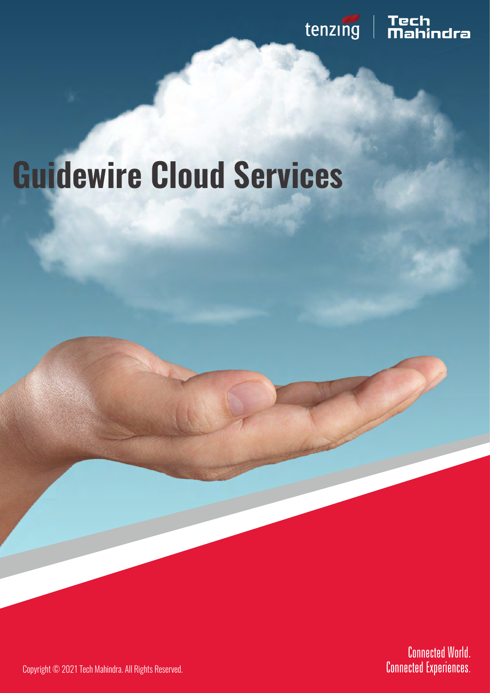

# **Guidewire Cloud Services**

**Connected World. Connected Experiences.** 

Copyright © 2021 Tech Mahindra. All Rights Reserved.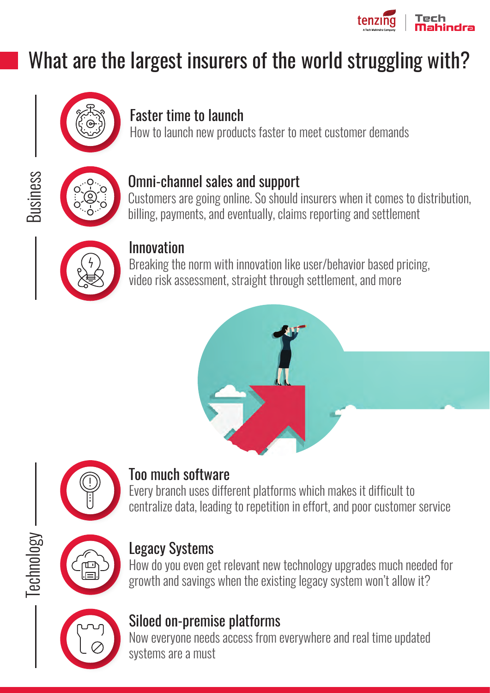

## What are the largest insurers of the world struggling with?



### Faster time to launch

How to launch new products faster to meet customer demands



**Business** 

#### Omni-channel sales and support

Customers are going online. So should insurers when it comes to distribution, billing, payments, and eventually, claims reporting and settlement



#### Innovation

Breaking the norm with innovation like user/behavior based pricing, video risk assessment, straight through settlement, and more





#### Too much software

Every branch uses different platforms which makes it difficult to centralize data, leading to repetition in effort, and poor customer service



Technology

#### Legacy Systems

How do you even get relevant new technology upgrades much needed for growth and savings when the existing legacy system won't allow it?



#### Siloed on-premise platforms

Now everyone needs access from everywhere and real time updated systems are a must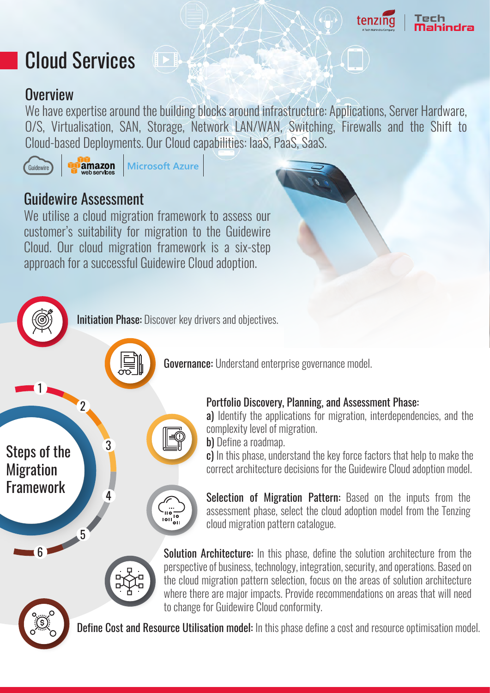

### Cloud Services

#### **Overview**

We have expertise around the building blocks around infrastructure: Applications, Server Hardware, O/S, Virtualisation, SAN, Storage, Network LAN/WAN, Switching, Firewalls and the Shift to Cloud-based Deployments. Our Cloud capabilities: IaaS, PaaS, SaaS.



1

Steps of the

Migration

Framework

amazon **Microsoft Azure** 

 $\left( \left\| \cdot \right\| \right)$ 

#### Guidewire Assessment

We utilise a cloud migration framework to assess our customer's suitability for migration to the Guidewire Cloud. Our cloud migration framework is a six-step approach for a successful Guidewire Cloud adoption.



Governance: Understand enterprise governance model.

#### Portfolio Discovery, Planning, and Assessment Phase:

a) Identify the applications for migration, interdependencies, and the complexity level of migration.

b) Define a roadmap.

c) In this phase, understand the key force factors that help to make the correct architecture decisions for the Guidewire Cloud adoption model.

Selection of Migration Pattern: Based on the inputs from the assessment phase, select the cloud adoption model from the Tenzing cloud migration pattern catalogue.

Solution Architecture: In this phase, define the solution architecture from the perspective of business, technology, integration, security, and operations. Based on the cloud migration pattern selection, focus on the areas of solution architecture where there are major impacts. Provide recommendations on areas that will need to change for Guidewire Cloud conformity.



6

5

2

3

4

Define Cost and Resource Utilisation model: In this phase define a cost and resource optimisation model.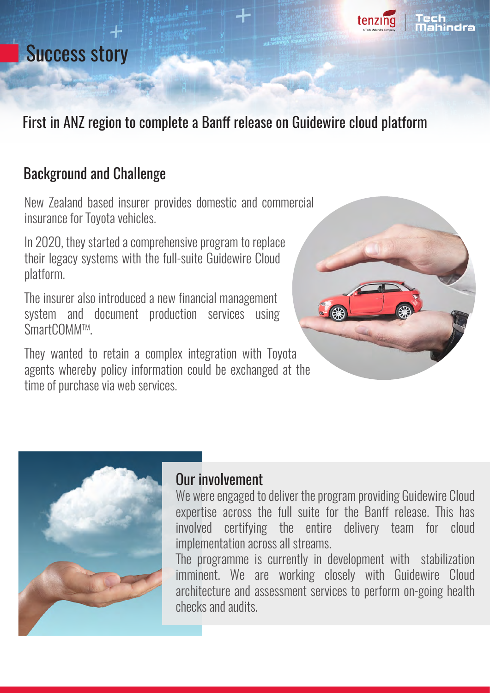### Success story



#### First in ANZ region to complete a Banff release on Guidewire cloud platform

#### Background and Challenge

New Zealand based insurer provides domestic and commercial insurance for Toyota vehicles.

In 2020, they started a comprehensive program to replace their legacy systems with the full-suite Guidewire Cloud platform.

The insurer also introduced a new financial management system and document production services using SmartCOMMTM.

They wanted to retain a complex integration with Toyota agents whereby policy information could be exchanged at the time of purchase via web services.





#### Our involvement

We were engaged to deliver the program providing Guidewire Cloud expertise across the full suite for the Banff release. This has involved certifying the entire delivery team for cloud implementation across all streams.

The programme is currently in development with stabilization imminent. We are working closely with Guidewire Cloud architecture and assessment services to perform on-going health checks and audits.